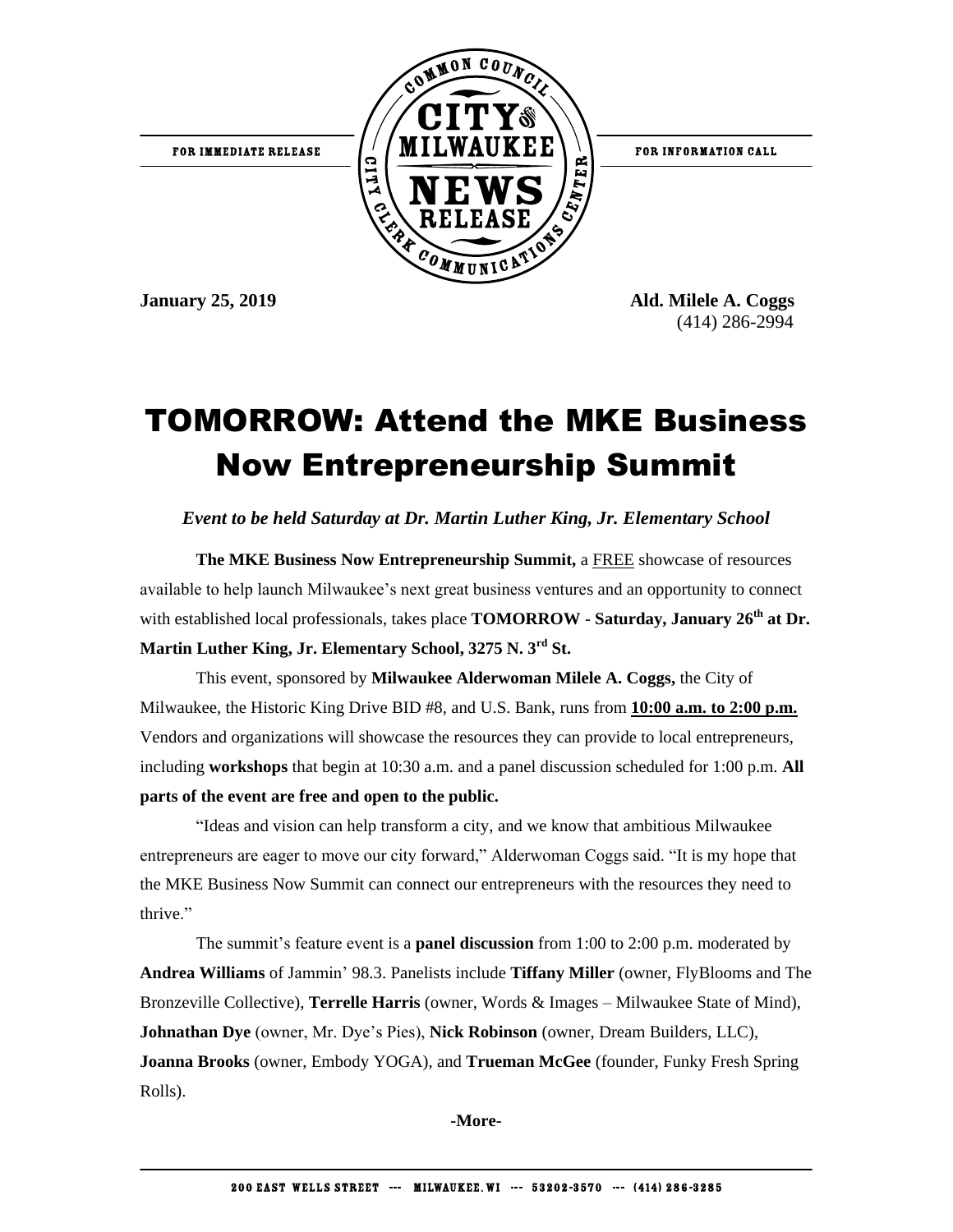

FOR INFORMATION CALL

**January 25, 2019 Ald. Milele A. Coggs** (414) 286-2994

## TOMORROW: Attend the MKE Business Now Entrepreneurship Summit

*Event to be held Saturday at Dr. Martin Luther King, Jr. Elementary School* 

**The MKE Business Now Entrepreneurship Summit,** a FREE showcase of resources available to help launch Milwaukee's next great business ventures and an opportunity to connect with established local professionals, takes place **TOMORROW** - **Saturday, January 26<sup>th</sup> at Dr. Martin Luther King, Jr. Elementary School, 3275 N. 3rd St.**

This event, sponsored by **Milwaukee Alderwoman Milele A. Coggs,** the City of Milwaukee, the Historic King Drive BID #8, and U.S. Bank, runs from **10:00 a.m. to 2:00 p.m.** Vendors and organizations will showcase the resources they can provide to local entrepreneurs, including **workshops** that begin at 10:30 a.m. and a panel discussion scheduled for 1:00 p.m. **All parts of the event are free and open to the public.**

"Ideas and vision can help transform a city, and we know that ambitious Milwaukee entrepreneurs are eager to move our city forward," Alderwoman Coggs said. "It is my hope that the MKE Business Now Summit can connect our entrepreneurs with the resources they need to thrive."

The summit's feature event is a **panel discussion** from 1:00 to 2:00 p.m. moderated by **Andrea Williams** of Jammin' 98.3. Panelists include **Tiffany Miller** (owner, FlyBlooms and The Bronzeville Collective), **Terrelle Harris** (owner, Words & Images – Milwaukee State of Mind), **Johnathan Dye** (owner, Mr. Dye's Pies), **Nick Robinson** (owner, Dream Builders, LLC), **Joanna Brooks** (owner, Embody YOGA), and **Trueman McGee** (founder, Funky Fresh Spring Rolls).

**-More-**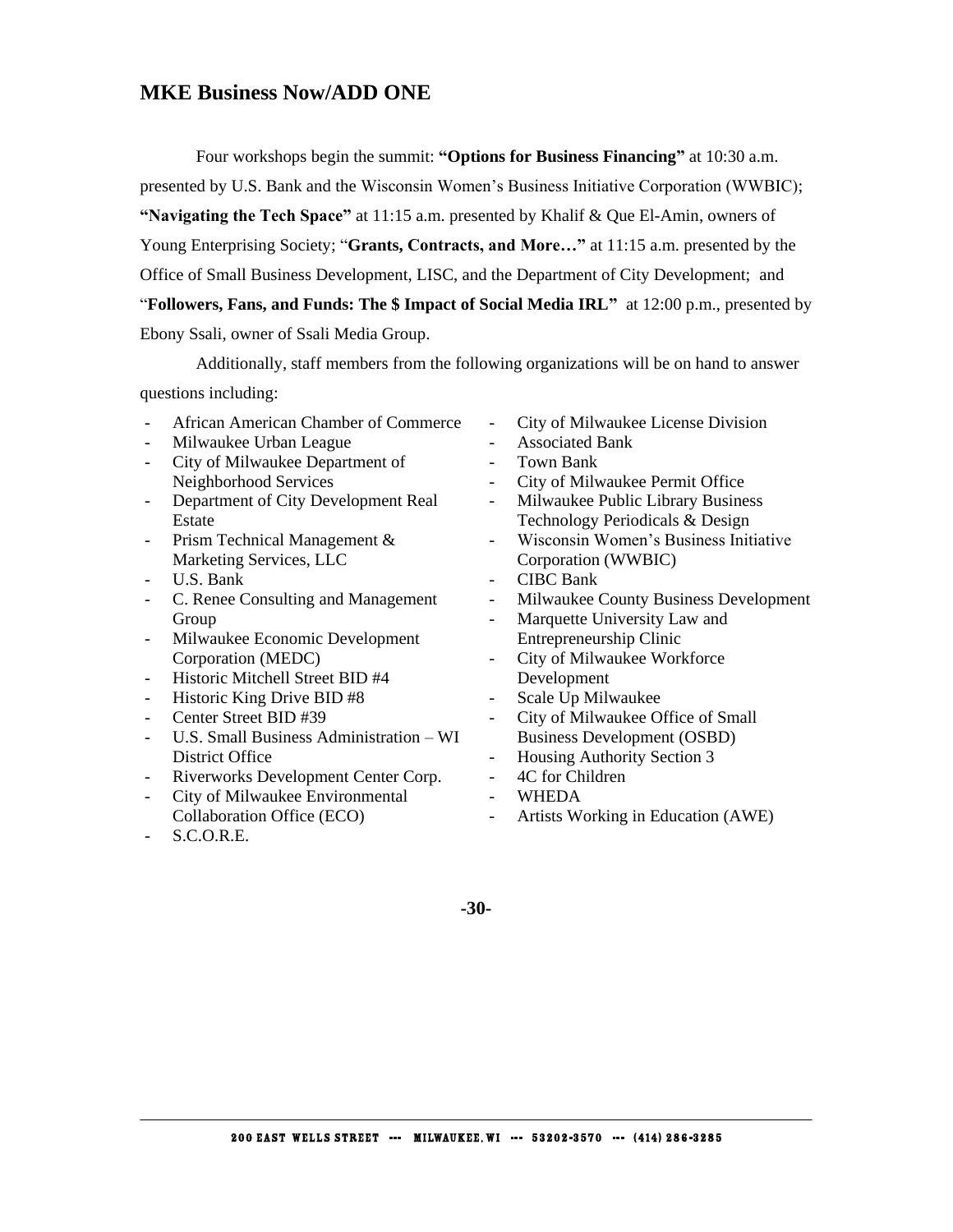#### **MKE Business Now/ADD ONE**

Four workshops begin the summit: **"Options for Business Financing"** at 10:30 a.m. presented by U.S. Bank and the Wisconsin Women's Business Initiative Corporation (WWBIC); **"Navigating the Tech Space"** at 11:15 a.m. presented by Khalif & Que El-Amin, owners of Young Enterprising Society; "**Grants, Contracts, and More…"** at 11:15 a.m. presented by the Office of Small Business Development, LISC, and the Department of City Development; and "**Followers, Fans, and Funds: The \$ Impact of Social Media IRL"** at 12:00 p.m., presented by Ebony Ssali, owner of Ssali Media Group.

Additionally, staff members from the following organizations will be on hand to answer questions including:

- African American Chamber of Commerce
- Milwaukee Urban League
- City of Milwaukee Department of Neighborhood Services
- Department of City Development Real Estate
- Prism Technical Management & Marketing Services, LLC
- U.S. Bank
- C. Renee Consulting and Management Group
- Milwaukee Economic Development Corporation (MEDC)
- Historic Mitchell Street BID #4
- Historic King Drive BID #8
- Center Street BID #39
- U.S. Small Business Administration WI District Office
- Riverworks Development Center Corp.
- City of Milwaukee Environmental Collaboration Office (ECO)
- S.C.O.R.E.
- City of Milwaukee License Division
- Associated Bank
- Town Bank
- City of Milwaukee Permit Office
- Milwaukee Public Library Business Technology Periodicals & Design
- Wisconsin Women's Business Initiative Corporation (WWBIC)
- CIBC Bank
- Milwaukee County Business Development
- Marquette University Law and Entrepreneurship Clinic
- City of Milwaukee Workforce Development
- Scale Up Milwaukee
- City of Milwaukee Office of Small Business Development (OSBD)
- Housing Authority Section 3
- 4C for Children
- WHEDA
- Artists Working in Education (AWE)

**-30-**